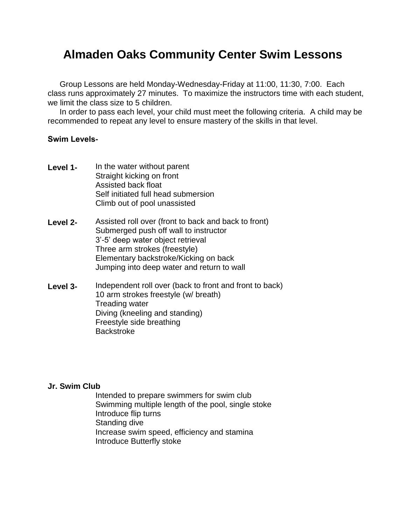## **Almaden Oaks Community Center Swim Lessons**

Group Lessons are held Monday-Wednesday-Friday at 11:00, 11:30, 7:00. Each class runs approximately 27 minutes. To maximize the instructors time with each student, we limit the class size to 5 children.

In order to pass each level, your child must meet the following criteria. A child may be recommended to repeat any level to ensure mastery of the skills in that level.

## **Swim Levels-**

- **Level 1-** In the water without parent Straight kicking on front Assisted back float Self initiated full head submersion Climb out of pool unassisted
- **Level 2-** Assisted roll over (front to back and back to front) Submerged push off wall to instructor 3'-5' deep water object retrieval Three arm strokes (freestyle) Elementary backstroke/Kicking on back Jumping into deep water and return to wall
- **Level 3-** Independent roll over (back to front and front to back) 10 arm strokes freestyle (w/ breath) Treading water Diving (kneeling and standing) Freestyle side breathing **Backstroke**

## **Jr. Swim Club**

Intended to prepare swimmers for swim club Swimming multiple length of the pool, single stoke Introduce flip turns Standing dive Increase swim speed, efficiency and stamina Introduce Butterfly stoke